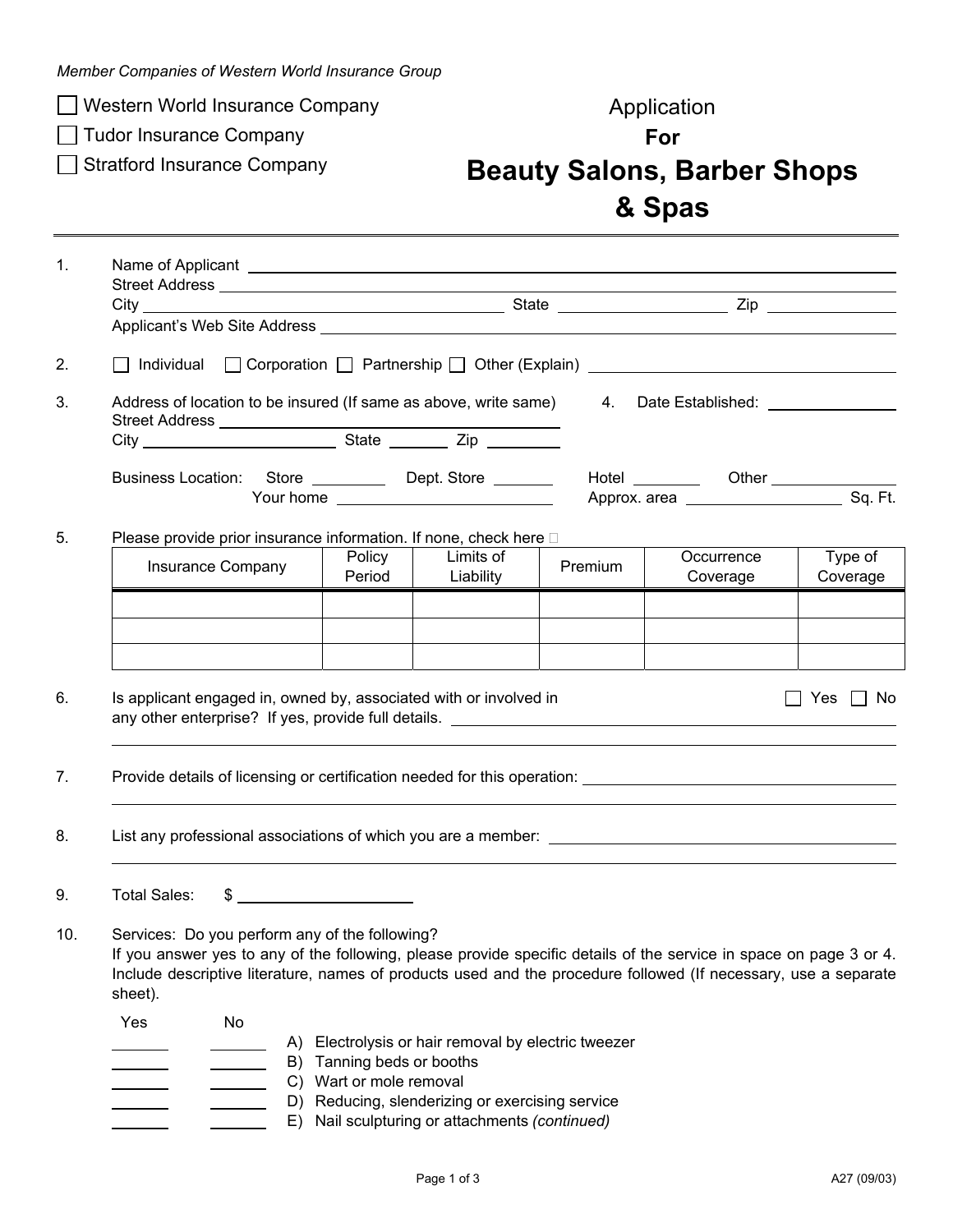*Member Companies of Western World Insurance Group* 

□ Western World Insurance Company Management Application

□ Tudor Insurance Company **For For** 

## Stratford Insurance Company **Beauty Salons, Barber Shops & Spas**

| $\mathbf{1}$ . |                                                                                                                                                                                                                                                                                                           |                                                                                                |                        |         |                                                                                                                                                                                                         |  |  |  |
|----------------|-----------------------------------------------------------------------------------------------------------------------------------------------------------------------------------------------------------------------------------------------------------------------------------------------------------|------------------------------------------------------------------------------------------------|------------------------|---------|---------------------------------------------------------------------------------------------------------------------------------------------------------------------------------------------------------|--|--|--|
|                |                                                                                                                                                                                                                                                                                                           |                                                                                                |                        |         | □ Corporation □ Partnership □ Other (Explain) __________________________________<br>Hotel __________  Other _______________<br>Type of<br>Occurrence<br>Coverage<br>Coverage<br>Yes<br>l I No<br>$\Box$ |  |  |  |
|                |                                                                                                                                                                                                                                                                                                           |                                                                                                |                        |         |                                                                                                                                                                                                         |  |  |  |
|                |                                                                                                                                                                                                                                                                                                           |                                                                                                |                        |         |                                                                                                                                                                                                         |  |  |  |
| 2.             | Individual                                                                                                                                                                                                                                                                                                |                                                                                                |                        |         |                                                                                                                                                                                                         |  |  |  |
| 3.             | Address of location to be insured (If same as above, write same)<br>Date Established: \\square\\square\\square\\square\\square\\square\\square\\square\\square\\square\\square\\square\<br>4.                                                                                                             |                                                                                                |                        |         |                                                                                                                                                                                                         |  |  |  |
|                |                                                                                                                                                                                                                                                                                                           |                                                                                                |                        |         |                                                                                                                                                                                                         |  |  |  |
|                | Business Location: Store ___________ Dept. Store ________                                                                                                                                                                                                                                                 |                                                                                                |                        |         |                                                                                                                                                                                                         |  |  |  |
|                |                                                                                                                                                                                                                                                                                                           |                                                                                                |                        |         |                                                                                                                                                                                                         |  |  |  |
| 5.             | Please provide prior insurance information. If none, check here D                                                                                                                                                                                                                                         |                                                                                                |                        |         |                                                                                                                                                                                                         |  |  |  |
|                | Insurance Company                                                                                                                                                                                                                                                                                         | Policy<br>Period                                                                               | Limits of<br>Liability | Premium |                                                                                                                                                                                                         |  |  |  |
|                |                                                                                                                                                                                                                                                                                                           |                                                                                                |                        |         |                                                                                                                                                                                                         |  |  |  |
|                |                                                                                                                                                                                                                                                                                                           |                                                                                                |                        |         |                                                                                                                                                                                                         |  |  |  |
|                |                                                                                                                                                                                                                                                                                                           |                                                                                                |                        |         |                                                                                                                                                                                                         |  |  |  |
|                |                                                                                                                                                                                                                                                                                                           |                                                                                                |                        |         |                                                                                                                                                                                                         |  |  |  |
| 6.             | Is applicant engaged in, owned by, associated with or involved in<br>any other enterprise? If yes, provide full details. <u>example and the set of the set of the set of the set of the set of the set of the set of the set of the set of the set of the set of the set of the set of the set of the</u> |                                                                                                |                        |         |                                                                                                                                                                                                         |  |  |  |
| 7.             |                                                                                                                                                                                                                                                                                                           |                                                                                                |                        |         |                                                                                                                                                                                                         |  |  |  |
| 8.             |                                                                                                                                                                                                                                                                                                           |                                                                                                |                        |         |                                                                                                                                                                                                         |  |  |  |
|                |                                                                                                                                                                                                                                                                                                           |                                                                                                |                        |         |                                                                                                                                                                                                         |  |  |  |
| 9.             | <b>Total Sales:</b><br>$\frac{1}{2}$                                                                                                                                                                                                                                                                      |                                                                                                |                        |         |                                                                                                                                                                                                         |  |  |  |
| 10.            | Services: Do you perform any of the following?                                                                                                                                                                                                                                                            |                                                                                                |                        |         |                                                                                                                                                                                                         |  |  |  |
|                | If you answer yes to any of the following, please provide specific details of the service in space on page 3 or 4.                                                                                                                                                                                        |                                                                                                |                        |         |                                                                                                                                                                                                         |  |  |  |
|                | Include descriptive literature, names of products used and the procedure followed (If necessary, use a separate<br>sheet).                                                                                                                                                                                |                                                                                                |                        |         |                                                                                                                                                                                                         |  |  |  |
|                | Yes<br>No                                                                                                                                                                                                                                                                                                 |                                                                                                |                        |         |                                                                                                                                                                                                         |  |  |  |
|                | A) Electrolysis or hair removal by electric tweezer                                                                                                                                                                                                                                                       |                                                                                                |                        |         |                                                                                                                                                                                                         |  |  |  |
|                | B) Tanning beds or booths                                                                                                                                                                                                                                                                                 |                                                                                                |                        |         |                                                                                                                                                                                                         |  |  |  |
|                |                                                                                                                                                                                                                                                                                                           | C) Wart or mole removal                                                                        |                        |         |                                                                                                                                                                                                         |  |  |  |
|                | E)                                                                                                                                                                                                                                                                                                        | D) Reducing, slenderizing or exercising service<br>Nail sculpturing or attachments (continued) |                        |         |                                                                                                                                                                                                         |  |  |  |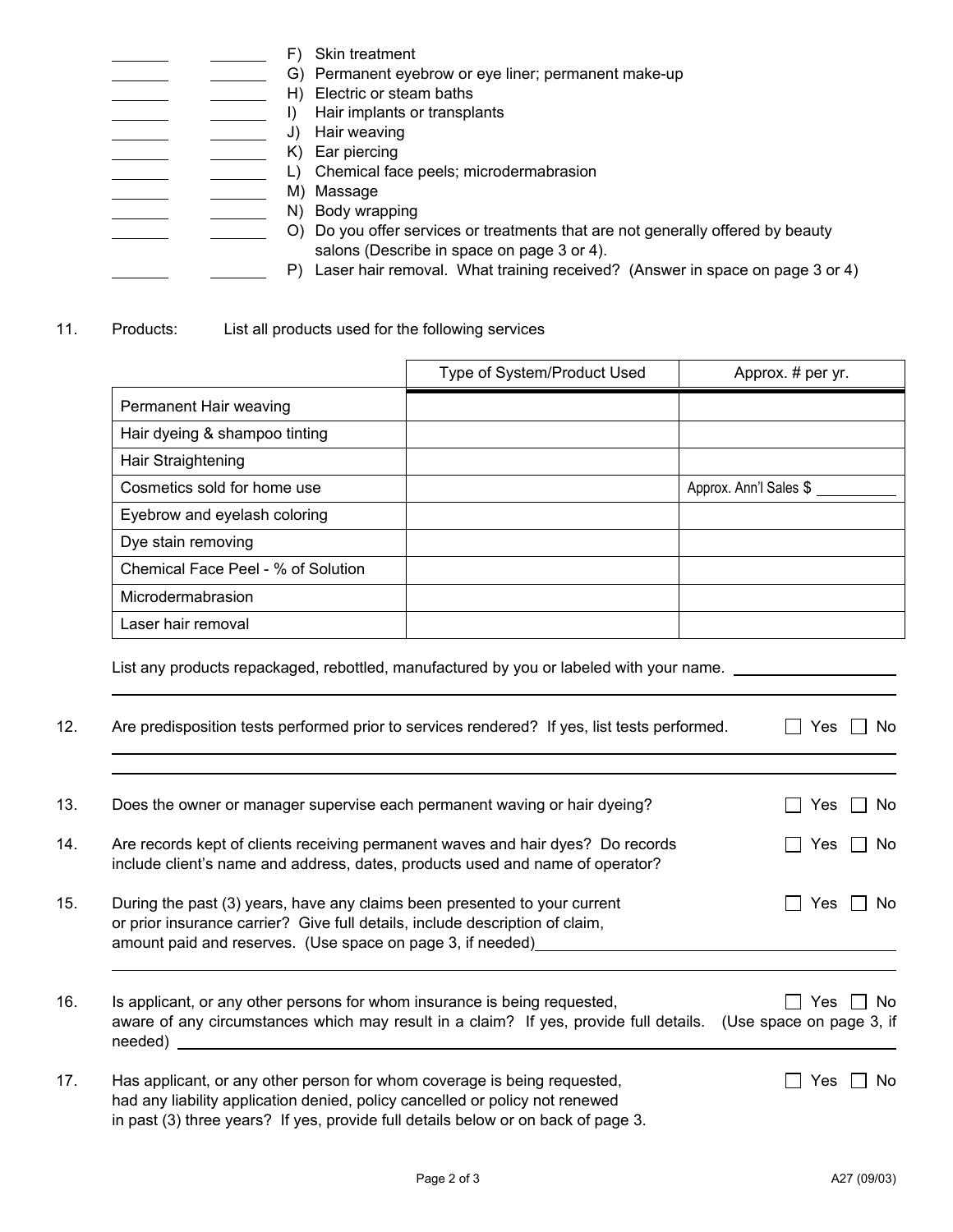**EXECUTE:** F) Skin treatment G) Permanent eyebrow or eye liner; permanent make-up<br>
H) Electric or steam baths<br>
H) Electric or steam baths H) Electric or steam baths **I)** Hair implants or transplants J) Hair weaving K) Ear piercing L) Chemical face peels; microdermabrasion M) Massage N) Body wrapping C) Do you offer services or treatments that are not generally offered by beauty salons (Describe in space on page 3 or 4). P) Laser hair removal. What training received? (Answer in space on page 3 or 4)

11. Products: List all products used for the following services

|                                    | Type of System/Product Used | Approx. # per yr.      |
|------------------------------------|-----------------------------|------------------------|
| Permanent Hair weaving             |                             |                        |
| Hair dyeing & shampoo tinting      |                             |                        |
| Hair Straightening                 |                             |                        |
| Cosmetics sold for home use        |                             | Approx. Ann'l Sales \$ |
| Eyebrow and eyelash coloring       |                             |                        |
| Dye stain removing                 |                             |                        |
| Chemical Face Peel - % of Solution |                             |                        |
| Microdermabrasion                  |                             |                        |
| Laser hair removal                 |                             |                        |

List any products repackaged, rebottled, manufactured by you or labeled with your name.

| 12. | Are predisposition tests performed prior to services rendered? If yes, list tests performed.                                                                                                                                                  | No.<br>Yes                             |
|-----|-----------------------------------------------------------------------------------------------------------------------------------------------------------------------------------------------------------------------------------------------|----------------------------------------|
|     |                                                                                                                                                                                                                                               |                                        |
| 13. | Does the owner or manager supervise each permanent waving or hair dyeing?                                                                                                                                                                     | Yes<br>No.                             |
| 14. | Are records kept of clients receiving permanent waves and hair dyes? Do records<br>include client's name and address, dates, products used and name of operator?                                                                              | No.<br><b>Yes</b>                      |
| 15. | During the past (3) years, have any claims been presented to your current<br>or prior insurance carrier? Give full details, include description of claim,<br>amount paid and reserves. (Use space on page 3, if needed)                       | No.<br>Yes                             |
| 16. | Is applicant, or any other persons for whom insurance is being requested,<br>aware of any circumstances which may result in a claim? If yes, provide full details.<br>needed)                                                                 | No.<br>Yes<br>(Use space on page 3, if |
| 17. | Has applicant, or any other person for whom coverage is being requested,<br>had any liability application denied, policy cancelled or policy not renewed<br>in past (3) three years? If yes, provide full details below or on back of page 3. | No<br>Yes                              |